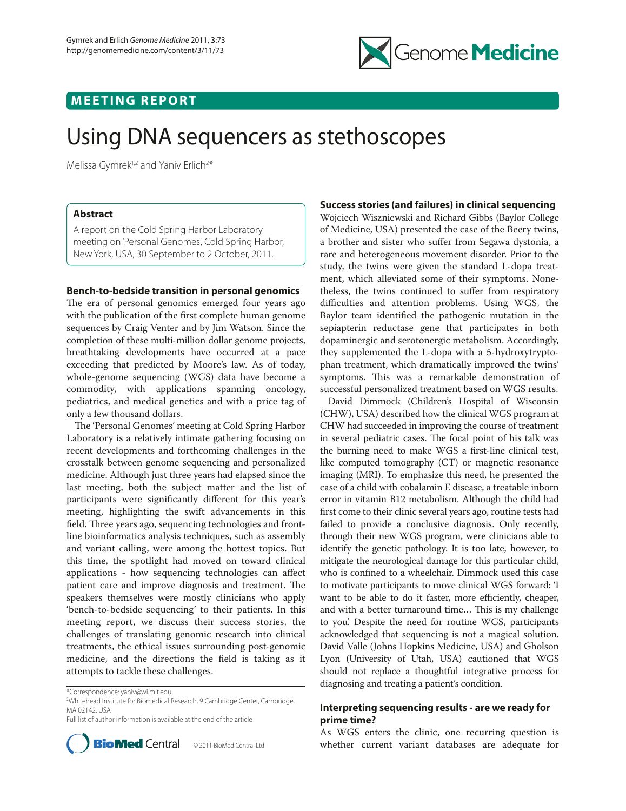

## **MEETING REPORT**

# Using DNA sequencers as stethoscopes

Melissa Gymrek<sup>1,2</sup> and Yaniv Erlich<sup>2\*</sup>

### **Abstract**

A report on the Cold Spring Harbor Laboratory meeting on 'Personal Genomes', Cold Spring Harbor, New York, USA, 30 September to 2 October, 2011.

## **Bench-to-bedside transition in personal genomics**

The era of personal genomics emerged four years ago with the publication of the first complete human genome sequences by Craig Venter and by Jim Watson. Since the completion of these multi-million dollar genome projects, breathtaking developments have occurred at a pace exceeding that predicted by Moore's law. As of today, whole-genome sequencing (WGS) data have become a commodity, with applications spanning oncology, pediatrics, and medical genetics and with a price tag of only a few thousand dollars.

The 'Personal Genomes' meeting at Cold Spring Harbor Laboratory is a relatively intimate gathering focusing on recent developments and forthcoming challenges in the crosstalk between genome sequencing and personalized medicine. Although just three years had elapsed since the last meeting, both the subject matter and the list of participants were significantly different for this year's meeting, highlighting the swift advancements in this field. Three years ago, sequencing technologies and frontline bioinformatics analysis techniques, such as assembly and variant calling, were among the hottest topics. But this time, the spotlight had moved on toward clinical applications - how sequencing technologies can affect patient care and improve diagnosis and treatment. The speakers themselves were mostly clinicians who apply 'bench-to-bedside sequencing' to their patients. In this meeting report, we discuss their success stories, the challenges of translating genomic research into clinical treatments, the ethical issues surrounding post-genomic medicine, and the directions the field is taking as it attempts to tackle these challenges.

\*Correspondence: yaniv@wi.mit.edu

2 Whitehead Institute for Biomedical Research, 9 Cambridge Center, Cambridge, MA 02142, USA

Full list of author information is available at the end of the article



## **Success stories (and failures) in clinical sequencing**

Wojciech Wiszniewski and Richard Gibbs (Baylor College of Medicine, USA) presented the case of the Beery twins, a brother and sister who suffer from Segawa dystonia, a rare and heterogeneous movement disorder. Prior to the study, the twins were given the standard L-dopa treatment, which alleviated some of their symptoms. Nonetheless, the twins continued to suffer from respiratory difficulties and attention problems. Using WGS, the Baylor team identified the pathogenic mutation in the sepiapterin reductase gene that participates in both dopaminergic and serotonergic metabolism. Accordingly, they supplemented the L-dopa with a 5-hydroxytryptophan treatment, which dramatically improved the twins' symptoms. This was a remarkable demonstration of successful personalized treatment based on WGS results.

David Dimmock (Children's Hospital of Wisconsin (CHW), USA) described how the clinical WGS program at CHW had succeeded in improving the course of treatment in several pediatric cases. The focal point of his talk was the burning need to make WGS a first-line clinical test, like computed tomography (CT) or magnetic resonance imaging (MRI). To emphasize this need, he presented the case of a child with cobalamin E disease, a treatable inborn error in vitamin B12 metabolism. Although the child had first come to their clinic several years ago, routine tests had failed to provide a conclusive diagnosis. Only recently, through their new WGS program, were clinicians able to identify the genetic pathology. It is too late, however, to mitigate the neurological damage for this particular child, who is confined to a wheelchair. Dimmock used this case to motivate participants to move clinical WGS forward: 'I want to be able to do it faster, more efficiently, cheaper, and with a better turnaround time... This is my challenge to you'. Despite the need for routine WGS, participants acknowledged that sequencing is not a magical solution. David Valle (Johns Hopkins Medicine, USA) and Gholson Lyon (University of Utah, USA) cautioned that WGS should not replace a thoughtful integrative process for diagnosing and treating a patient's condition.

## **Interpreting sequencing results - are we ready for prime time?**

As WGS enters the clinic, one recurring question is whether current variant databases are adequate for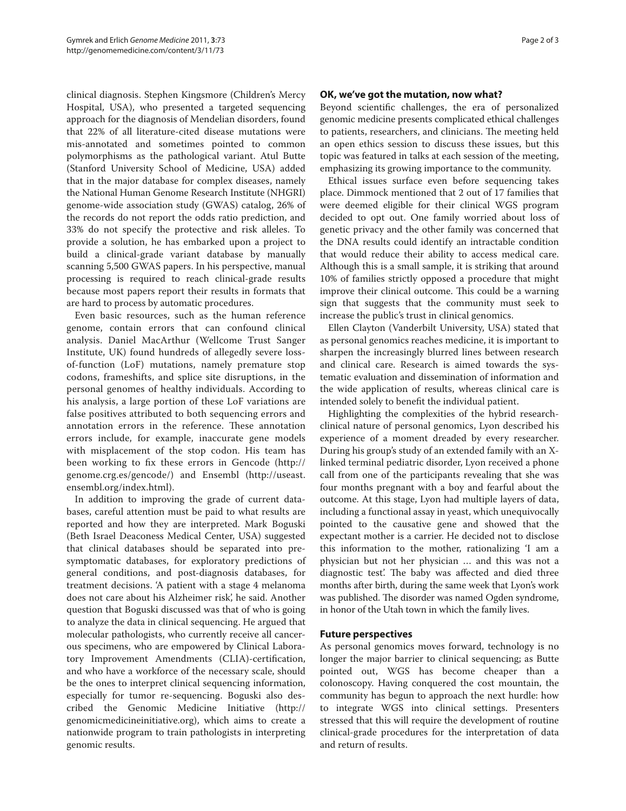clinical diagnosis. Stephen Kingsmore (Children's Mercy Hospital, USA), who presented a targeted sequencing approach for the diagnosis of Mendelian disorders, found that 22% of all literature-cited disease mutations were mis-annotated and sometimes pointed to common polymorphisms as the pathological variant. Atul Butte (Stanford University School of Medicine, USA) added that in the major database for complex diseases, namely the National Human Genome Research Institute (NHGRI) genome-wide association study (GWAS) catalog, 26% of the records do not report the odds ratio prediction, and 33% do not specify the protective and risk alleles. To provide a solution, he has embarked upon a project to build a clinical-grade variant database by manually scanning 5,500 GWAS papers. In his perspective, manual processing is required to reach clinical-grade results because most papers report their results in formats that are hard to process by automatic procedures.

Even basic resources, such as the human reference genome, contain errors that can confound clinical analysis. Daniel MacArthur (Wellcome Trust Sanger Institute, UK) found hundreds of allegedly severe lossof-function (LoF) mutations, namely premature stop codons, frameshifts, and splice site disruptions, in the personal genomes of healthy individuals. According to his analysis, a large portion of these LoF variations are false positives attributed to both sequencing errors and annotation errors in the reference. These annotation errors include, for example, inaccurate gene models with misplacement of the stop codon. His team has been working to fix these errors in Gencode (http:// genome.crg.es/gencode/) and Ensembl (http://useast. ensembl.org/index.html).

In addition to improving the grade of current databases, careful attention must be paid to what results are reported and how they are interpreted. Mark Boguski (Beth Israel Deaconess Medical Center, USA) suggested that clinical databases should be separated into presymptomatic databases, for exploratory predictions of general conditions, and post-diagnosis databases, for treatment decisions. 'A patient with a stage 4 melanoma does not care about his Alzheimer risk', he said. Another question that Boguski discussed was that of who is going to analyze the data in clinical sequencing. He argued that molecular pathologists, who currently receive all cancerous specimens, who are empowered by Clinical Laboratory Improvement Amendments (CLIA)-certification, and who have a workforce of the necessary scale, should be the ones to interpret clinical sequencing information, especially for tumor re-sequencing. Boguski also described the Genomic Medicine Initiative (http:// genomicmedicineinitiative.org), which aims to create a nationwide program to train pathologists in interpreting genomic results.

## **OK, we've got the mutation, now what?**

Beyond scientific challenges, the era of personalized genomic medicine presents complicated ethical challenges to patients, researchers, and clinicians. The meeting held an open ethics session to discuss these issues, but this topic was featured in talks at each session of the meeting, emphasizing its growing importance to the community.

Ethical issues surface even before sequencing takes place. Dimmock mentioned that 2 out of 17 families that were deemed eligible for their clinical WGS program decided to opt out. One family worried about loss of genetic privacy and the other family was concerned that the DNA results could identify an intractable condition that would reduce their ability to access medical care. Although this is a small sample, it is striking that around 10% of families strictly opposed a procedure that might improve their clinical outcome. This could be a warning sign that suggests that the community must seek to increase the public's trust in clinical genomics.

Ellen Clayton (Vanderbilt University, USA) stated that as personal genomics reaches medicine, it is important to sharpen the increasingly blurred lines between research and clinical care. Research is aimed towards the systematic evaluation and dissemination of information and the wide application of results, whereas clinical care is intended solely to benefit the individual patient.

Highlighting the complexities of the hybrid researchclinical nature of personal genomics, Lyon described his experience of a moment dreaded by every researcher. During his group's study of an extended family with an Xlinked terminal pediatric disorder, Lyon received a phone call from one of the participants revealing that she was four months pregnant with a boy and fearful about the outcome. At this stage, Lyon had multiple layers of data, including a functional assay in yeast, which unequivocally pointed to the causative gene and showed that the expectant mother is a carrier. He decided not to disclose this information to the mother, rationalizing 'I am a physician but not her physician … and this was not a diagnostic test'. The baby was affected and died three months after birth, during the same week that Lyon's work was published. The disorder was named Ogden syndrome, in honor of the Utah town in which the family lives.

### **Future perspectives**

As personal genomics moves forward, technology is no longer the major barrier to clinical sequencing; as Butte pointed out, WGS has become cheaper than a colonoscopy. Having conquered the cost mountain, the community has begun to approach the next hurdle: how to integrate WGS into clinical settings. Presenters stressed that this will require the development of routine clinical-grade procedures for the interpretation of data and return of results.